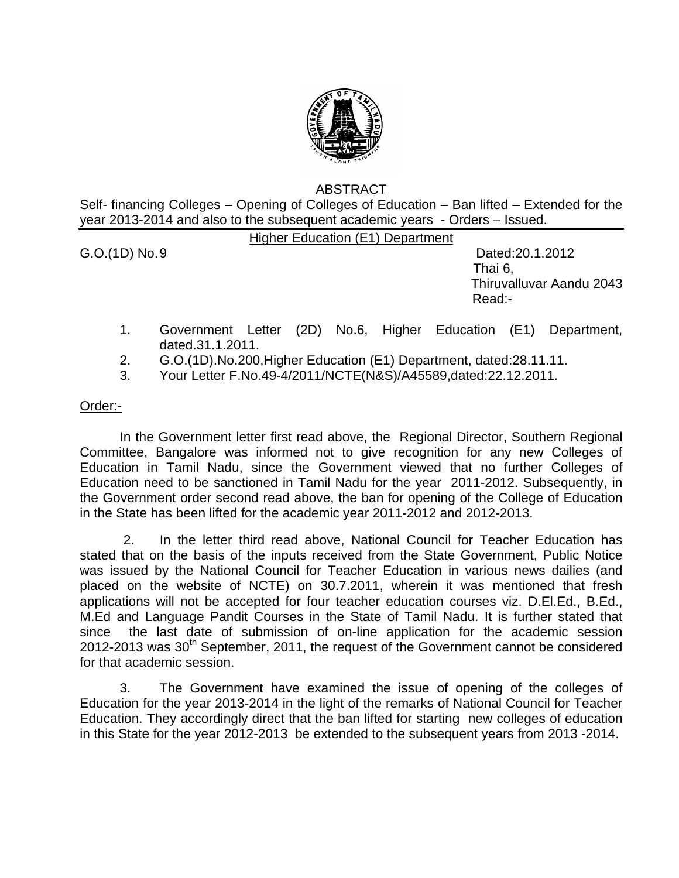

## ABSTRACT

Self- financing Colleges – Opening of Colleges of Education – Ban lifted – Extended for the year 2013-2014 and also to the subsequent academic years - Orders – Issued.

Higher Education (E1) Department

G.O.(1D) No. 9 Dated:20.1.2012 Thai 6, Thiruvalluvar Aandu 2043 Read:-

- 1. Government Letter (2D) No.6, Higher Education (E1) Department, dated.31.1.2011.
- 2. G.O.(1D).No.200,Higher Education (E1) Department, dated:28.11.11.
- 3. Your Letter F.No.49-4/2011/NCTE(N&S)/A45589,dated:22.12.2011.

## Order:-

 In the Government letter first read above, the Regional Director, Southern Regional Committee, Bangalore was informed not to give recognition for any new Colleges of Education in Tamil Nadu, since the Government viewed that no further Colleges of Education need to be sanctioned in Tamil Nadu for the year 2011-2012. Subsequently, in the Government order second read above, the ban for opening of the College of Education in the State has been lifted for the academic year 2011-2012 and 2012-2013.

 2. In the letter third read above, National Council for Teacher Education has stated that on the basis of the inputs received from the State Government, Public Notice was issued by the National Council for Teacher Education in various news dailies (and placed on the website of NCTE) on 30.7.2011, wherein it was mentioned that fresh applications will not be accepted for four teacher education courses viz. D.El.Ed., B.Ed., M.Ed and Language Pandit Courses in the State of Tamil Nadu. It is further stated that since the last date of submission of on-line application for the academic session  $2012$ -2013 was  $30<sup>th</sup>$  September, 2011, the request of the Government cannot be considered for that academic session.

3. The Government have examined the issue of opening of the colleges of Education for the year 2013-2014 in the light of the remarks of National Council for Teacher Education. They accordingly direct that the ban lifted for starting new colleges of education in this State for the year 2012-2013 be extended to the subsequent years from 2013 -2014.